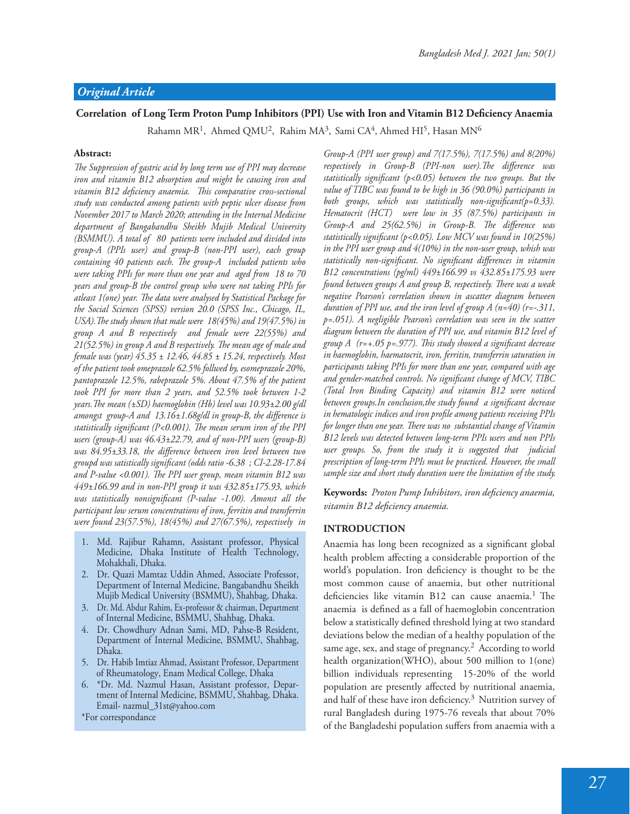# Correlation of Long Term Proton Pump Inhibitors (PPI) Use with Iron and Vitamin B12 Deficiency Anaemia

Rahamn MR<sup>1</sup>, Ahmed QMU<sup>2</sup>, Rahim MA<sup>3</sup>, Sami CA<sup>4</sup>, Ahmed HI<sup>5</sup>, Hasan MN<sup>6</sup>

#### **Abstract:**

The Suppression of gastric acid by long term use of PPI may decrease *iron and vitamin B12 absorption and might be causing iron and*  vitamin B12 deficiency anaemia. This comparative cross-sectional *study was conducted among patients with peptic ulcer disease from November 2017 to March 2020; attending in the Internal Medicine department of Bangabandhu Sheikh Mujib Medical University (BSMMU). A total of 80 patients were included and divided into group-A (PPIs user) and group-B (non-PPI user), each group containing 40 patients each. The group-A included patients who were taking PPIs for more than one year and aged from 18 to 70 years and group-B the control group who were not taking PPIs for*  atleast 1(one) year. The data were analysed by Statistical Package for *the Social Sciences (SPSS) version 20.0 (SPSS Inc., Chicago, IL, USA*). The study shown that male were 18(45%) and 19(47.5%) in *group A and B respectively and female were 22(55%) and*  21(52.5%) in group A and B respectively. The mean age of male and *female was (year) 45.35 ± 12.46, 44.85 ± 15.24, respectively. Most of the patient took omeprazole 62.5% follwed by, esomeprazole 20%, pantoprazole 12.5%, rabeprazole 5%. About 47.5% of the patient took PPI for more than 2 years, and 52.5% took between 1-2 years. The mean (±SD) haemoglobin (Hb) level was 10.93±2.00 g/dl* amongst group-A and 13.16±1.68g/dl in group-B, the difference is statistically significant (P<0.001). The mean serum iron of the PPI *users (group-A) was 46.43±22.79, and of non-PPI users (group-B) was 84.95±33.18, the difference between iron level between two* groupd was satistically significant (odds ratio -6.38 ; CI-2.28-17.84 and P-value <0.001). The PPI user group, mean vitamin B12 was *449±166.99 and in non-PPI group it was 432.85±175.93, which was statistically nonsignificant (P-value -1.00). Amonst all the participant low serum concentrations of iron, ferritin and transferrin were found 23(57.5%), 18(45%) and 27(67.5%), respectively in* 

- 1. Md. Rajibur Rahamn, Assistant professor, Physical Medicine, Dhaka Institute of Health Technology, Mohakhali, Dhaka.
- 2. Dr. Quazi Mamtaz Uddin Ahmed, Associate Professor, Department of Internal Medicine, Bangabandhu Sheikh Mujib Medical University (BSMMU), Shahbag, Dhaka.
- 3. Dr. Md. Abdur Rahim, Ex-professor & chairman, Department of Internal Medicine, BSMMU, Shahbag, Dhaka.
- 4. Dr. Chowdhury Adnan Sami, MD, Pahse-B Resident, Department of Internal Medicine, BSMMU, Shahbag, Dhaka.
- 5. Dr. Habib Imtiaz Ahmad, Assistant Professor, Department of Rheumatology, Enam Medical College, Dhaka
- 6. \*Dr. Md. Nazmul Hasan, Assistant professor, Department of Internal Medicine, BSMMU, Shahbag, Dhaka. Email- nazmul\_31st@yahoo.com

\*For correspondance

*Group-A (PPI user group) and 7(17.5%), 7(17.5%) and 8(20%) respectively in Group-B (PPI-non user). The difference was* statistically significant (p<0.05) between the two groups. But the *value of TIBC was found to be high in 36 (90.0%) participants in both groups, which was statistically non-significant(p=0.33). Hematocrit (HCT) were low in 35 (87.5%) participants in Group-A and 25(62.5%) in Group-B. The difference was* statistically significant (p<0.05). Low MCV was found in 10(25%) *in the PPI user group and 4(10%) in the non-user group, whish was*  statistically non-significant. No significant differences in vitamin *B12 concentrations (pg/ml) 449±166.99 vs 432.85±175.93 were found between groups A and group B, respectively. There was a weak negative Pearson's correlation shown in ascatter diagram between duration of PPI use, and the iron level of group A (n=40) (r=-.311, p=.051). A negligible Pearson's correlation was seen in the scatter diagram between the duration of PPI use, and vitamin B12 level of*  group A (r=+.05 p=.977). This study showed a significant decrease *in haemoglobin, haematocrit, iron, ferritin, transferrin saturation in participants taking PPIs for more than one year, compared with age*  and gender-matched controls. No significant change of MCV, TIBC *(Total Iron Binding Capacity) and vitamin B12 were noticed between groups.In conclusion,the study found a significant decrease* in hematologic indices and iron profile among patients receiving PPIs for longer than one year. There was no substantial change of Vitamin *B12 levels was detected between long-term PPIs users and non PPIs user groups. So, from the study it is suggested that judicial prescription of long-term PPIs must be practiced. However, the small sample size and short study duration were the limitation of the study.*

**Keywords:** *Proton Pump Inhibitors, iron deficiency anaemia,*  $v$ *itamin B12 deficiency anaemia.* 

#### **INTRODUCTION**

Anaemia has long been recognized as a significant global health problem affecting a considerable proportion of the world's population. Iron deficiency is thought to be the most common cause of anaemia, but other nutritional deficiencies like vitamin B12 can cause anaemia.<sup>1</sup> The anaemia is defined as a fall of haemoglobin concentration below a statistically defined threshold lying at two standard deviations below the median of a healthy population of the same age, sex, and stage of pregnancy. $^2$  According to world health organization(WHO), about 500 million to 1(one) billion individuals representing 15-20% of the world population are presently affected by nutritional anaemia, and half of these have iron deficiency. $3$  Nutrition survey of rural Bangladesh during 1975-76 reveals that about 70% of the Bangladeshi population suffers from anaemia with a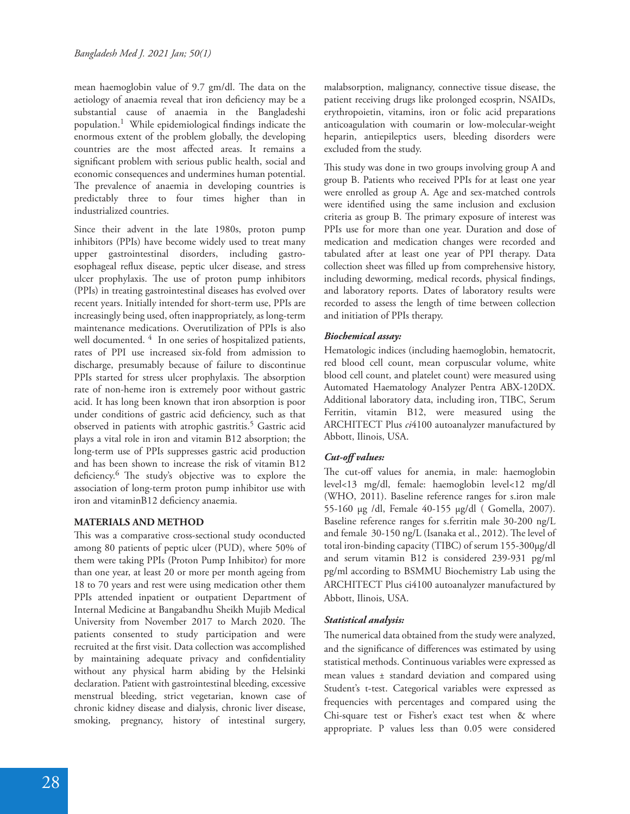mean haemoglobin value of 9.7 gm/dl. The data on the aetiology of anaemia reveal that iron deficiency may be a substantial cause of anaemia in the Bangladeshi population.<sup>1</sup> While epidemiological findings indicate the enormous extent of the problem globally, the developing countries are the most affected areas. It remains a significant problem with serious public health, social and economic consequences and undermines human potential. The prevalence of anaemia in developing countries is predictably three to four times higher than in industrialized countries.

Since their advent in the late 1980s, proton pump inhibitors (PPIs) have become widely used to treat many upper gastrointestinal disorders, including gastroesophageal reflux disease, peptic ulcer disease, and stress ulcer prophylaxis. The use of proton pump inhibitors (PPIs) in treating gastrointestinal diseases has evolved over recent years. Initially intended for short-term use, PPIs are increasingly being used, often inappropriately, as long-term maintenance medications. Overutilization of PPIs is also well documented. <sup>4</sup> In one series of hospitalized patients, rates of PPI use increased six-fold from admission to discharge, presumably because of failure to discontinue PPIs started for stress ulcer prophylaxis. The absorption rate of non-heme iron is extremely poor without gastric acid. It has long been known that iron absorption is poor under conditions of gastric acid deficiency, such as that observed in patients with atrophic gastritis.<sup>5</sup> Gastric acid plays a vital role in iron and vitamin B12 absorption; the long-term use of PPIs suppresses gastric acid production and has been shown to increase the risk of vitamin B12 deficiency. $6$  The study's objective was to explore the association of long-term proton pump inhibitor use with iron and vitaminB12 deficiency anaemia.

## **MATERIALS AND METHOD**

This was a comparative cross-sectional study oconducted among 80 patients of peptic ulcer (PUD), where 50% of them were taking PPIs (Proton Pump Inhibitor) for more than one year, at least 20 or more per month ageing from 18 to 70 years and rest were using medication other them PPIs attended inpatient or outpatient Department of Internal Medicine at Bangabandhu Sheikh Mujib Medical University from November 2017 to March 2020. The patients consented to study participation and were recruited at the first visit. Data collection was accomplished by maintaining adequate privacy and confidentiality without any physical harm abiding by the Helsinki declaration. Patient with gastrointestinal bleeding, excessive menstrual bleeding, strict vegetarian, known case of chronic kidney disease and dialysis, chronic liver disease, smoking, pregnancy, history of intestinal surgery,

malabsorption, malignancy, connective tissue disease, the patient receiving drugs like prolonged ecosprin, NSAIDs, erythropoietin, vitamins, iron or folic acid preparations anticoagulation with coumarin or low-molecular-weight heparin, antiepileptics users, bleeding disorders were excluded from the study.

This study was done in two groups involving group A and group B. Patients who received PPIs for at least one year were enrolled as group A. Age and sex-matched controls were identified using the same inclusion and exclusion criteria as group B. The primary exposure of interest was PPIs use for more than one year. Duration and dose of medication and medication changes were recorded and tabulated after at least one year of PPI therapy. Data collection sheet was filled up from comprehensive history, including deworming, medical records, physical findings, and laboratory reports. Dates of laboratory results were recorded to assess the length of time between collection and initiation of PPIs therapy.

## *Biochemical assay:*

Hematologic indices (including haemoglobin, hematocrit, red blood cell count, mean corpuscular volume, white blood cell count, and platelet count) were measured using Automated Haematology Analyzer Pentra ABX-120DX. Additional laboratory data, including iron, TIBC, Serum Ferritin, vitamin B12, were measured using the ARCHITECT Plus *ci*4100 autoanalyzer manufactured by Abbott, Ilinois, USA.

# Cut-off values:

The cut-off values for anemia, in male: haemoglobin level<13 mg/dl, female: haemoglobin level<12 mg/dl (WHO, 2011). Baseline reference ranges for s.iron male 55-160 µg /dl, Female 40-155 µg/dl ( Gomella, 2007). Baseline reference ranges for s.ferritin male 30-200 ng/L and female 30-150 ng/L (Isanaka et al., 2012). The level of total iron-binding capacity (TIBC) of serum 155-300µg/dl and serum vitamin B12 is considered 239-931 pg/ml pg/ml according to BSMMU Biochemistry Lab using the ARCHITECT Plus ci4100 autoanalyzer manufactured by Abbott, Ilinois, USA.

## *Statistical analysis:*

The numerical data obtained from the study were analyzed, and the significance of differences was estimated by using statistical methods. Continuous variables were expressed as mean values ± standard deviation and compared using Student's t-test. Categorical variables were expressed as frequencies with percentages and compared using the Chi-square test or Fisher's exact test when & where appropriate. P values less than 0.05 were considered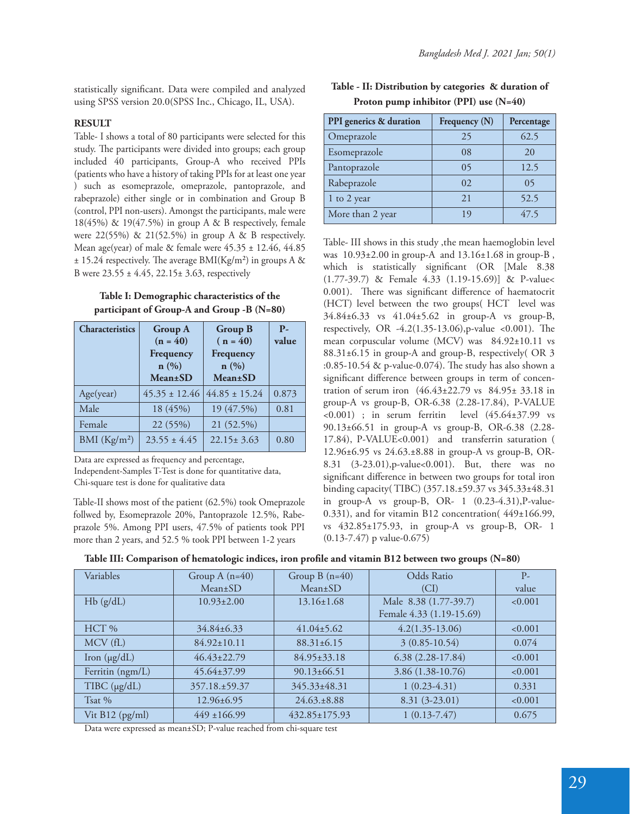statistically significant. Data were compiled and analyzed using SPSS version 20.0(SPSS Inc., Chicago, IL, USA).

## **RESULT**

Table- I shows a total of 80 participants were selected for this study. The participants were divided into groups; each group included 40 participants, Group-A who received PPIs (patients who have a history of taking PPIs for at least one year ) such as esomeprazole, omeprazole, pantoprazole, and rabeprazole) either single or in combination and Group B (control, PPI non-users). Amongst the participants, male were 18(45%) & 19(47.5%) in group A & B respectively, female were  $22(55%)$  &  $21(52.5%)$  in group A & B respectively. Mean age(year) of male & female were 45.35 ± 12.46, 44.85  $± 15.24$  respectively. The average BMI(Kg/m<sup>2</sup>) in groups A & B were  $23.55 \pm 4.45$ ,  $22.15 \pm 3.63$ , respectively

## **Table I: Demographic characteristics of the participant of Group-A and Group -B (N=80)**

| <b>Characteristics</b> | <b>Group A</b><br>$(n = 40)$<br>Frequency<br>$\mathbf{n}(\%)$<br><b>Mean</b> ±SD | <b>Group B</b><br>$(n = 40)$<br>Frequency<br>n(%)<br><b>Mean</b> ±SD | $P -$<br>value |
|------------------------|----------------------------------------------------------------------------------|----------------------------------------------------------------------|----------------|
| Age(year)              | $45.35 \pm 12.46$                                                                | $44.85 \pm 15.24$                                                    | 0.873          |
| Male                   | 18 (45%)                                                                         | 19 (47.5%)                                                           | 0.81           |
| Female                 | 22 (55%)                                                                         | 21 (52.5%)                                                           |                |
| BMI $(Kg/m2)$          | $23.55 \pm 4.45$                                                                 | $22.15 \pm 3.63$                                                     | 0.80           |

Data are expressed as frequency and percentage,

Independent-Samples T-Test is done for quantitative data, Chi-square test is done for qualitative data

Table-II shows most of the patient (62.5%) took Omeprazole follwed by, Esomeprazole 20%, Pantoprazole 12.5%, Rabeprazole 5%. Among PPI users, 47.5% of patients took PPI more than 2 years, and 52.5 % took PPI between 1-2 years

| Table - II: Distribution by categories & duration of |  |
|------------------------------------------------------|--|
| Proton pump inhibitor (PPI) use $(N=40)$             |  |

| PPI generics & duration | Frequency (N) | Percentage |
|-------------------------|---------------|------------|
| Omeprazole              | 25            | 62.5       |
| Esomeprazole            | 08            | 20         |
| Pantoprazole            | 05            | 12.5       |
| Rabeprazole             | $\Omega$      | 05         |
| 1 to 2 year             | 21            | 52.5       |
| More than 2 year        | 19            | 47.5       |

Table- III shows in this study ,the mean haemoglobin level was 10.93±2.00 in group-A and 13.16±1.68 in group-B , which is statistically significant (OR [Male 8.38 (1.77-39.7) & Female 4.33 (1.19-15.69)] & P-value< 0.001). There was significant difference of haematocrit (HCT) level between the two groups( HCT level was 34.84±6.33 vs 41.04±5.62 in group-A vs group-B, respectively, OR  $-4.2(1.35-13.06)$ , p-value <0.001). The mean corpuscular volume (MCV) was 84.92±10.11 vs 88.31±6.15 in group-A and group-B, respectively( OR 3 :0.85-10.54  $\&$  p-value-0.074). The study has also shown a significant difference between groups in term of concentration of serum iron (46.43±22.79 vs 84.95± 33.18 in group-A vs group-B, OR-6.38 (2.28-17.84), P-VALUE  $(45.64 \pm 37.99)$  in serum ferritin level  $(45.64 \pm 37.99)$  vs 90.13±66.51 in group-A vs group-B, OR-6.38 (2.28- 17.84), P-VALUE<0.001) and transferrin saturation ( 12.96±6.95 vs 24.63.±8.88 in group-A vs group-B, OR-8.31 (3-23.01),p-value<0.001). But, there was no significant difference in between two groups for total iron binding capacity( TIBC) (357.18.±59.37 vs 345.33±48.31 in group-A vs group-B, OR-  $1$   $(0.23-4.31)$ , P-value-0.331), and for vitamin B12 concentration( 449±166.99, vs 432.85±175.93, in group-A vs group-B, OR- 1 (0.13-7.47) p value-0.675)

|  |  | Table III: Comparison of hematologic indices, iron profile and vitamin B12 between two groups (N=80) |  |
|--|--|------------------------------------------------------------------------------------------------------|--|
|  |  |                                                                                                      |  |

| Variables                            | Group $A(n=40)$   | Group $B(n=40)$   | Odds Ratio               | $P-$    |
|--------------------------------------|-------------------|-------------------|--------------------------|---------|
|                                      | $Mean \pm SD$     | $Mean \pm SD$     | (CI)                     | value   |
| Hb(g/dL)                             | $10.93 \pm 2.00$  | $13.16 \pm 1.68$  | Male 8.38 (1.77-39.7)    | < 0.001 |
|                                      |                   |                   | Female 4.33 (1.19-15.69) |         |
| HCT %                                | 34.84±6.33        | $41.04 \pm 5.62$  | $4.2(1.35-13.06)$        | < 0.001 |
| MCV (fL)                             | 84.92±10.11       | $88.31 \pm 6.15$  | $3(0.85-10.54)$          | 0.074   |
| Iron $(\mu g/dL)$                    | $46.43 \pm 22.79$ | $84.95 \pm 33.18$ | $6.38(2.28-17.84)$       | < 0.001 |
| Ferritin (ngm/L)                     | $45.64 \pm 37.99$ | $90.13\pm 66.51$  | 3.86 (1.38-10.76)        | < 0.001 |
| $T\text{IBC}(\mu\text{g}/\text{dL})$ | 357.18.±59.37     | 345.33±48.31      | $1(0.23-4.31)$           | 0.331   |
| Tsat $%$                             | $12.96 \pm 6.95$  | $24.63 \pm 8.88$  | $8.31(3-23.01)$          | < 0.001 |
| Vit $B12$ (pg/ml)                    | $449 \pm 166.99$  | 432.85±175.93     | $1(0.13-7.47)$           | 0.675   |

Data were expressed as mean±SD; P-value reached from chi-square test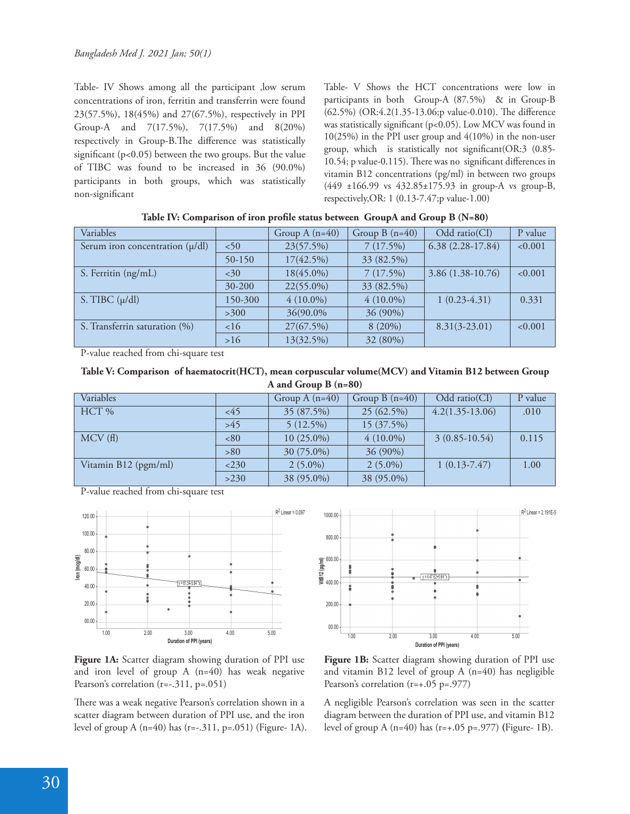Table- IV Shows among all the participant ,low serum concentrations of iron, ferritin and transferrin were found 23(57.5%), 18(45%) and 27(67.5%), respectively in PPI Group-A and 7(17.5%), 7(17.5%) and 8(20%) respectively in Group-B. The difference was statistically significant ( $p<0.05$ ) between the two groups. But the value of TIBC was found to be increased in 36 (90.0%) participants in both groups, which was statistically non-significant

Table- V Shows the HCT concentrations were low in participants in both Group-A (87.5%) & in Group-B  $(62.5\%)$  (OR:4.2(1.35-13.06; pvalue-0.010). The difference was statistically significant ( $p<0.05$ ). Low MCV was found in 10(25%) in the PPI user group and 4(10%) in the non-user group, which is statistically not significant  $(OR:3 \ (0.85-$ 10.54; p value-0.115). There was no significant differences in vitamin B12 concentrations (pg/ml) in between two groups (449 ±166.99 vs 432.85±175.93 in group-A vs group-B, respectively,OR: 1 (0.13-7.47;p value-1.00)

| Variables                           |            | Group A $(n=40)$ | Group $B(n=40)$ | Odd ratio(CI)      | P value |
|-------------------------------------|------------|------------------|-----------------|--------------------|---------|
| Serum iron concentration $(\mu/dl)$ | ~50        | 23(57.5%)        | 7(17.5%)        | $6.38(2.28-17.84)$ | < 0.001 |
|                                     | $50 - 150$ | $17(42.5\%)$     | 33 (82.5%)      |                    |         |
| S. Ferritin (ng/mL)                 | <30        | $18(45.0\%)$     | 7(17.5%)        | $3.86(1.38-10.76)$ | < 0.001 |
|                                     | $30 - 200$ | $22(55.0\%)$     | 33 (82.5%)      |                    |         |
| S. TIBC $(\mu/dl)$                  | 150-300    | $4(10.0\%)$      | $4(10.0\%)$     | $1(0.23-4.31)$     | 0.331   |
|                                     | >300       | 36(90.0%)        | $36(90\%)$      |                    |         |
| S. Transferrin saturation (%)       | 16         | 27(67.5%)        | $8(20\%)$       | $8.31(3-23.01)$    | < 0.001 |
|                                     | >16        | 13(32.5%)        | 32 (80%)        |                    |         |

|  | Table IV: Comparison of iron profile status between GroupA and Group B (N=80) |  |
|--|-------------------------------------------------------------------------------|--|
|  |                                                                               |  |

P-value reached from chi-square test

| Table V: Comparison of haematocrit(HCT), mean corpuscular volume(MCV) and Vitamin B12 between Group |  |
|-----------------------------------------------------------------------------------------------------|--|
| A and Group B $(n=80)$                                                                              |  |

| Variables            |       | Group A $(n=40)$ | Group B $(n=40)$ | Odd $ratio(Cl)$   | P value |
|----------------------|-------|------------------|------------------|-------------------|---------|
| HCT %                | <45   | 35 (87.5%)       | 25(62.5%)        | $4.2(1.35-13.06)$ | .010    |
|                      | $>45$ | $5(12.5\%)$      | 15(37.5%)        |                   |         |
| MCV(f)               | <80   | $10(25.0\%)$     | $4(10.0\%)$      | $3(0.85-10.54)$   | 0.115   |
|                      | >80   | 30 (75.0%)       | 36 (90%)         |                   |         |
| Vitamin B12 (pgm/ml) | 230   | $2(5.0\%)$       | $2(5.0\%)$       | $1(0.13-7.47)$    | 1.00    |
|                      | >230  | 38 (95.0%)       | 38 (95.0%)       |                   |         |

P-value reached from chi-square test



**Vita**<br>**SE<br>FIG**<br>**400.00 -Duration of PPI (years)** 1.00 2.00 3.00 4.00 5.00 1000.00  $800.00$ 400.00 -  $200.00$  $00.00$  $\sqrt{y} = 4.47E2 + 0.64$ R 2 Linear = 2.191E-5

Figure 1A: Scatter diagram showing duration of PPI use and iron level of group A (n=40) has weak negative Pearson's correlation (r=-.311, p=.051)

There was a weak negative Pearson's correlation shown in a scatter diagram between duration of PPI use, and the iron level of group A (n=40) has (r=-.311, p=.051) (Figure- 1A).



A negligible Pearson's correlation was seen in the scatter diagram between the duration of PPI use, and vitamin B12 level of group A (n=40) has (r=+.05 p=.977) **(**Figure- 1B).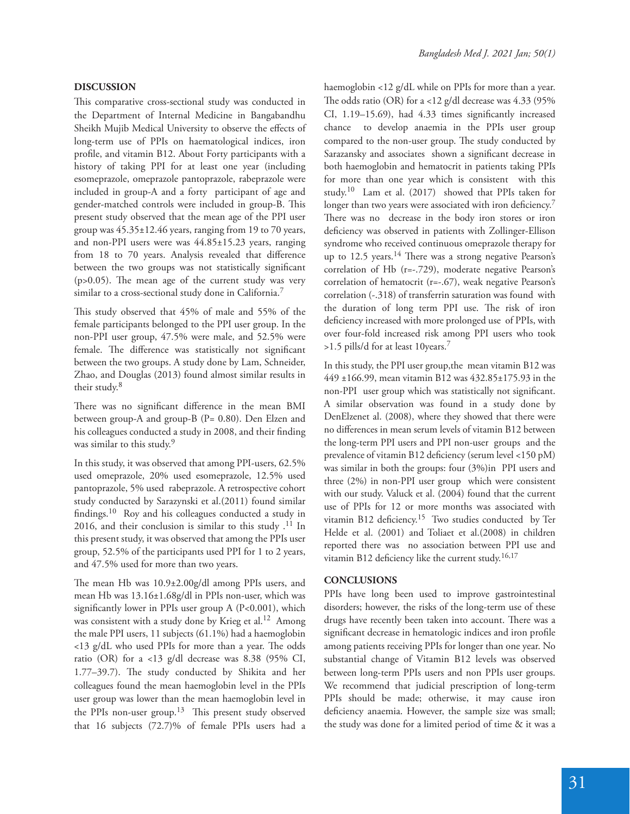#### **DISCUSSION**

This comparative cross-sectional study was conducted in the Department of Internal Medicine in Bangabandhu Sheikh Mujib Medical University to observe the effects of long-term use of PPIs on haematological indices, iron profile, and vitamin B12. About Forty participants with a history of taking PPI for at least one year (including esomeprazole, omeprazole pantoprazole, rabeprazole were included in group-A and a forty participant of age and gender-matched controls were included in group-B. This present study observed that the mean age of the PPI user group was 45.35±12.46 years, ranging from 19 to 70 years, and non-PPI users were was 44.85±15.23 years, ranging from 18 to 70 years. Analysis revealed that difference between the two groups was not statistically significant ( $p > 0.05$ ). The mean age of the current study was very similar to a cross-sectional study done in California.<sup>7</sup>

This study observed that 45% of male and 55% of the female participants belonged to the PPI user group. In the non-PPI user group, 47.5% were male, and 52.5% were female. The difference was statistically not significant between the two groups. A study done by Lam, Schneider, Zhao, and Douglas (2013) found almost similar results in their study.<sup>8</sup>

There was no significant difference in the mean BMI between group-A and group-B (P= 0.80). Den Elzen and his colleagues conducted a study in 2008, and their finding was similar to this study.<sup>9</sup>

In this study, it was observed that among PPI-users, 62.5% used omeprazole, 20% used esomeprazole, 12.5% used pantoprazole, 5% used rabeprazole. A retrospective cohort study conducted by Sarazynski et al.(2011) found similar findings.<sup>10</sup> Roy and his colleagues conducted a study in 2016, and their conclusion is similar to this study  $.11$  In this present study, it was observed that among the PPIs user group, 52.5% of the participants used PPI for 1 to 2 years, and 47.5% used for more than two years.

The mean Hb was  $10.9\pm2.00g/dl$  among PPIs users, and mean Hb was 13.16±1.68g/dl in PPIs non-user, which was significantly lower in PPIs user group A  $(P<0.001)$ , which was consistent with a study done by Krieg et al.<sup>12</sup> Among the male PPI users, 11 subjects (61.1%) had a haemoglobin  $<$ 13 g/dL who used PPIs for more than a year. The odds ratio (OR) for a <13 g/dl decrease was 8.38 (95% CI, 1.77-39.7). The study conducted by Shikita and her colleagues found the mean haemoglobin level in the PPIs user group was lower than the mean haemoglobin level in the PPIs non-user group.<sup>13</sup> This present study observed that 16 subjects (72.7)% of female PPIs users had a haemoglobin <12 g/dL while on PPIs for more than a year. The odds ratio (OR) for a <12 g/dl decrease was  $4.33$  (95%) CI,  $1.19-15.69$ ), had  $4.33$  times significantly increased chance to develop anaemia in the PPIs user group compared to the non-user group. The study conducted by Sarazansky and associates shown a significant decrease in both haemoglobin and hematocrit in patients taking PPIs for more than one year which is consistent with this study.10 Lam et al. (2017) showed that PPIs taken for longer than two years were associated with iron deficiency.<sup>7</sup> There was no decrease in the body iron stores or iron deficiency was observed in patients with Zollinger-Ellison syndrome who received continuous omeprazole therapy for up to 12.5 years.<sup>14</sup> There was a strong negative Pearson's correlation of Hb (r=-.729), moderate negative Pearson's correlation of hematocrit (r=-.67), weak negative Pearson's correlation (-.318) of transferrin saturation was found with the duration of long term PPI use. The risk of iron deficiency increased with more prolonged use of PPIs, with over four-fold increased risk among PPI users who took >1.5 pills/d for at least 10years.<sup>7</sup>

In this study, the PPI user group,the mean vitamin B12 was 449 ±166.99, mean vitamin B12 was 432.85±175.93 in the non-PPI user group which was statistically not significant. A similar observation was found in a study done by DenElzenet al. (2008), where they showed that there were no differences in mean serum levels of vitamin B12 between the long-term PPI users and PPI non-user groups and the prevalence of vitamin B12 deficiency (serum level <150 pM) was similar in both the groups: four (3%)in PPI users and three (2%) in non-PPI user group which were consistent with our study. Valuck et al. (2004) found that the current use of PPIs for 12 or more months was associated with vitamin B12 deficiency.<sup>15</sup> Two studies conducted by Ter Helde et al. (2001) and Toliaet et al.(2008) in children reported there was no association between PPI use and vitamin B12 deficiency like the current study.<sup>16,17</sup>

#### **CONCLUSIONS**

PPIs have long been used to improve gastrointestinal disorders; however, the risks of the long-term use of these drugs have recently been taken into account. There was a significant decrease in hematologic indices and iron profile among patients receiving PPIs for longer than one year. No substantial change of Vitamin B12 levels was observed between long-term PPIs users and non PPIs user groups. We recommend that judicial prescription of long-term PPIs should be made; otherwise, it may cause iron deficiency anaemia. However, the sample size was small; the study was done for a limited period of time & it was a